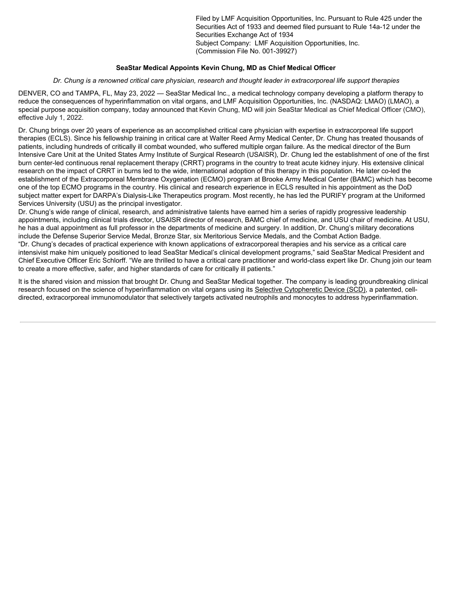Filed by LMF Acquisition Opportunities, Inc. Pursuant to Rule 425 under the Securities Act of 1933 and deemed filed pursuant to Rule 14a-12 under the Securities Exchange Act of 1934 Subject Company: LMF Acquisition Opportunities, Inc. (Commission File No. 001-39927)

## **SeaStar Medical Appoints Kevin Chung, MD as Chief Medical Officer**

Dr. Chung is a renowned critical care physician, research and thought leader in extracorporeal life support therapies

DENVER, CO and TAMPA, FL, May 23, 2022 — SeaStar Medical Inc., a medical technology company developing a platform therapy to reduce the consequences of hyperinflammation on vital organs, and LMF Acquisition Opportunities, Inc. (NASDAQ: LMAO) (LMAO), a special purpose acquisition company, today announced that Kevin Chung, MD will join SeaStar Medical as Chief Medical Officer (CMO), effective July 1, 2022.

Dr. Chung brings over 20 years of experience as an accomplished critical care physician with expertise in extracorporeal life support therapies (ECLS). Since his fellowship training in critical care at Walter Reed Army Medical Center, Dr. Chung has treated thousands of patients, including hundreds of critically ill combat wounded, who suffered multiple organ failure. As the medical director of the Burn Intensive Care Unit at the United States Army Institute of Surgical Research (USAISR), Dr. Chung led the establishment of one of the first burn center-led continuous renal replacement therapy (CRRT) programs in the country to treat acute kidney injury. His extensive clinical research on the impact of CRRT in burns led to the wide, international adoption of this therapy in this population. He later co-led the establishment of the Extracorporeal Membrane Oxygenation (ECMO) program at Brooke Army Medical Center (BAMC) which has become one of the top ECMO programs in the country. His clinical and research experience in ECLS resulted in his appointment as the DoD subject matter expert for DARPA's Dialysis-Like Therapeutics program. Most recently, he has led the PURIFY program at the Uniformed Services University (USU) as the principal investigator.

Dr. Chung's wide range of clinical, research, and administrative talents have earned him a series of rapidly progressive leadership appointments, including clinical trials director, USAISR director of research, BAMC chief of medicine, and USU chair of medicine. At USU, he has a dual appointment as full professor in the departments of medicine and surgery. In addition, Dr. Chung's military decorations include the Defense Superior Service Medal, Bronze Star, six Meritorious Service Medals, and the Combat Action Badge. "Dr. Chung's decades of practical experience with known applications of extracorporeal therapies and his service as a critical care intensivist make him uniquely positioned to lead SeaStar Medical's clinical development programs," said SeaStar Medical President and Chief Executive Officer Eric Schlorff. "We are thrilled to have a critical care practitioner and world-class expert like Dr. Chung join our team to create a more effective, safer, and higher standards of care for critically ill patients."

It is the shared vision and mission that brought Dr. Chung and SeaStar Medical together. The company is leading groundbreaking clinical research focused on the science of hyperinflammation on vital organs using its Selective Cytopheretic Device (SCD), a patented, celldirected, extracorporeal immunomodulator that selectively targets activated neutrophils and monocytes to address hyperinflammation.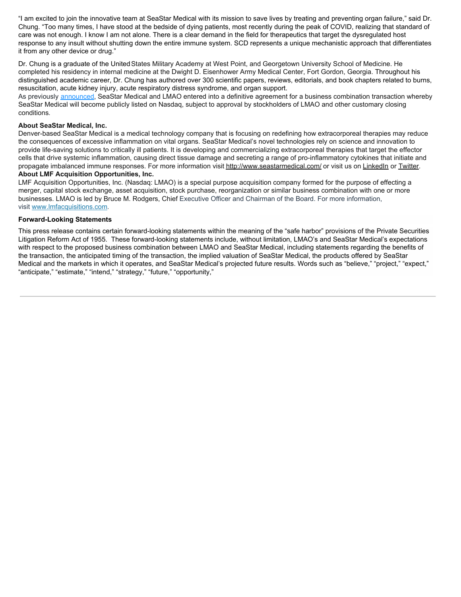"I am excited to join the innovative team at SeaStar Medical with its mission to save lives by treating and preventing organ failure," said Dr. Chung. "Too many times, I have stood at the bedside of dying patients, most recently during the peak of COVID, realizing that standard of care was not enough. I know I am not alone. There is a clear demand in the field for therapeutics that target the dysregulated host response to any insult without shutting down the entire immune system. SCD represents a unique mechanistic approach that differentiates it from any other device or drug."

Dr. Chung is a graduate of the UnitedStates Military Academy at West Point, and Georgetown University School of Medicine. He completed his residency in internal medicine at the Dwight D. Eisenhower Army Medical Center, Fort Gordon, Georgia. Throughout his distinguished academic career, Dr. Chung has authored over 300 scientific papers, reviews, editorials, and book chapters related to burns, resuscitation, acute kidney injury, acute respiratory distress syndrome, and organ support.

As previously announced, SeaStar Medical and LMAO entered into a definitive agreement for a business combination transaction whereby SeaStar Medical will become publicly listed on Nasdaq, subject to approval by stockholders of LMAO and other customary closing conditions.

## **About SeaStar Medical, Inc.**

Denver-based SeaStar Medical is a medical technology company that is focusing on redefining how extracorporeal therapies may reduce the consequences of excessive inflammation on vital organs. SeaStar Medical's novel technologies rely on science and innovation to provide life-saving solutions to critically ill patients. It is developing and commercializing extracorporeal therapies that target the effector cells that drive systemic inflammation, causing direct tissue damage and secreting a range of pro-inflammatory cytokines that initiate and propagate imbalanced immune responses. For more information visit http://www.seastarmedical.com/ or visit us on LinkedIn or Twitter. **About LMF Acquisition Opportunities, Inc.**

LMF Acquisition Opportunities, Inc. (Nasdaq: LMAO) is a special purpose acquisition company formed for the purpose of effecting a merger, capital stock exchange, asset acquisition, stock purchase, reorganization or similar business combination with one or more businesses. LMAO is led by Bruce M. Rodgers, Chief Executive Officer and Chairman of the Board. For more information, visit www.lmfacquisitions.com.

## **Forward-Looking Statements**

This press release contains certain forward-looking statements within the meaning of the "safe harbor" provisions of the Private Securities Litigation Reform Act of 1955. These forward-looking statements include, without limitation, LMAO's and SeaStar Medical's expectations with respect to the proposed business combination between LMAO and SeaStar Medical, including statements regarding the benefits of the transaction, the anticipated timing of the transaction, the implied valuation of SeaStar Medical, the products offered by SeaStar Medical and the markets in which it operates, and SeaStar Medical's projected future results. Words such as "believe," "project," "expect," "anticipate," "estimate," "intend," "strategy," "future," "opportunity,"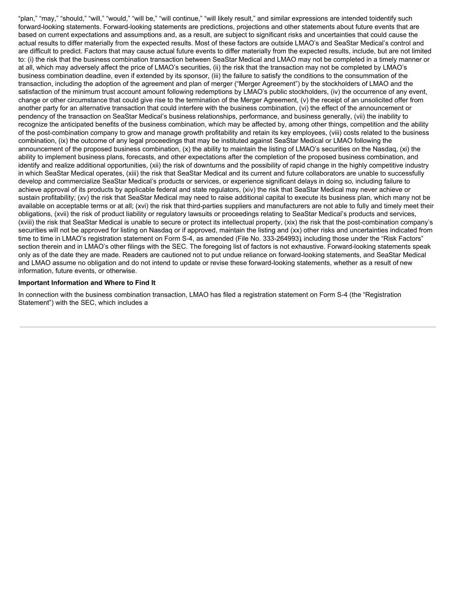"plan," "may," "should," "will," "would," "will be," "will continue," "will likely result," and similar expressions are intended toidentify such forward-looking statements. Forward-looking statements are predictions, projections and other statements about future events that are based on current expectations and assumptions and, as a result, are subject to significant risks and uncertainties that could cause the actual results to differ materially from the expected results. Most of these factors are outside LMAO's and SeaStar Medical's control and are difficult to predict. Factors that may cause actual future events to differ materially from the expected results, include, but are not limited to: (i) the risk that the business combination transaction between SeaStar Medical and LMAO may not be completed in a timely manner or at all, which may adversely affect the price of LMAO's securities, (ii) the risk that the transaction may not be completed by LMAO's business combination deadline, even if extended by its sponsor, (iii) the failure to satisfy the conditions to the consummation of the transaction, including the adoption of the agreement and plan of merger ("Merger Agreement") by the stockholders of LMAO and the satisfaction of the minimum trust account amount following redemptions by LMAO's public stockholders, (iv) the occurrence of any event, change or other circumstance that could give rise to the termination of the Merger Agreement, (v) the receipt of an unsolicited offer from another party for an alternative transaction that could interfere with the business combination, (vi) the effect of the announcement or pendency of the transaction on SeaStar Medical's business relationships, performance, and business generally, (vii) the inability to recognize the anticipated benefits of the business combination, which may be affected by, among other things, competition and the ability of the post-combination company to grow and manage growth profitability and retain its key employees, (viii) costs related to the business combination, (ix) the outcome of any legal proceedings that may be instituted against SeaStar Medical or LMAO following the announcement of the proposed business combination, (x) the ability to maintain the listing of LMAO's securities on the Nasdaq, (xi) the ability to implement business plans, forecasts, and other expectations after the completion of the proposed business combination, and identify and realize additional opportunities, (xii) the risk of downturns and the possibility of rapid change in the highly competitive industry in which SeaStar Medical operates, (xiii) the risk that SeaStar Medical and its current and future collaborators are unable to successfully develop and commercialize SeaStar Medical's products or services, or experience significant delays in doing so, including failure to achieve approval of its products by applicable federal and state regulators, (xiv) the risk that SeaStar Medical may never achieve or sustain profitability; (xv) the risk that SeaStar Medical may need to raise additional capital to execute its business plan, which many not be available on acceptable terms or at all; (xvi) the risk that third-parties suppliers and manufacturers are not able to fully and timely meet their obligations, (xvii) the risk of product liability or regulatory lawsuits or proceedings relating to SeaStar Medical's products and services, (xviii) the risk that SeaStar Medical is unable to secure or protect its intellectual property, (xix) the risk that the post-combination company's securities will not be approved for listing on Nasdaq or if approved, maintain the listing and (xx) other risks and uncertainties indicated from time to time in LMAO's registration statement on Form S-4, as amended (File No. 333-264993), including those under the "Risk Factors" section therein and in LMAO's other filings with the SEC. The foregoing list of factors is not exhaustive. Forward-looking statements speak only as of the date they are made. Readers are cautioned not to put undue reliance on forward-looking statements, and SeaStar Medical and LMAO assume no obligation and do not intend to update or revise these forward-looking statements, whether as a result of new information, future events, or otherwise.

#### **Important Information and Where to Find It**

In connection with the business combination transaction, LMAO has filed a registration statement on Form S-4 (the "Registration Statement") with the SEC, which includes a